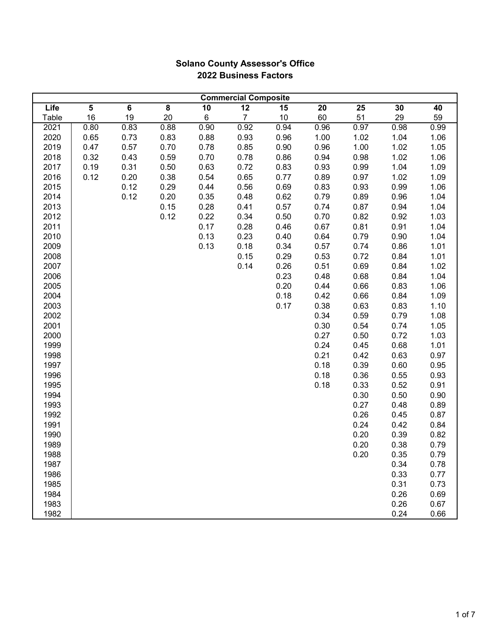|       | <b>Commercial Composite</b> |      |                         |      |                |      |      |      |      |      |
|-------|-----------------------------|------|-------------------------|------|----------------|------|------|------|------|------|
| Life  | 5                           | 6    | $\overline{\mathbf{8}}$ | 10   | 12             | 15   | 20   | 25   | 30   | 40   |
| Table | 16                          | 19   | 20                      | 6    | $\overline{7}$ | 10   | 60   | 51   | 29   | 59   |
| 2021  | 0.80                        | 0.83 | 0.88                    | 0.90 | 0.92           | 0.94 | 0.96 | 0.97 | 0.98 | 0.99 |
| 2020  | 0.65                        | 0.73 | 0.83                    | 0.88 | 0.93           | 0.96 | 1.00 | 1.02 | 1.04 | 1.06 |
| 2019  | 0.47                        | 0.57 | 0.70                    | 0.78 | 0.85           | 0.90 | 0.96 | 1.00 | 1.02 | 1.05 |
| 2018  | 0.32                        | 0.43 | 0.59                    | 0.70 | 0.78           | 0.86 | 0.94 | 0.98 | 1.02 | 1.06 |
| 2017  | 0.19                        | 0.31 | 0.50                    | 0.63 | 0.72           | 0.83 | 0.93 | 0.99 | 1.04 | 1.09 |
| 2016  | 0.12                        | 0.20 | 0.38                    | 0.54 | 0.65           | 0.77 | 0.89 | 0.97 | 1.02 | 1.09 |
| 2015  |                             | 0.12 | 0.29                    | 0.44 | 0.56           | 0.69 | 0.83 | 0.93 | 0.99 | 1.06 |
| 2014  |                             | 0.12 | 0.20                    | 0.35 | 0.48           | 0.62 | 0.79 | 0.89 | 0.96 | 1.04 |
| 2013  |                             |      | 0.15                    | 0.28 | 0.41           | 0.57 | 0.74 | 0.87 | 0.94 | 1.04 |
| 2012  |                             |      | 0.12                    | 0.22 | 0.34           | 0.50 | 0.70 | 0.82 | 0.92 | 1.03 |
| 2011  |                             |      |                         | 0.17 | 0.28           | 0.46 | 0.67 | 0.81 | 0.91 | 1.04 |
| 2010  |                             |      |                         | 0.13 | 0.23           | 0.40 | 0.64 | 0.79 | 0.90 | 1.04 |
| 2009  |                             |      |                         | 0.13 | 0.18           | 0.34 | 0.57 | 0.74 | 0.86 | 1.01 |
| 2008  |                             |      |                         |      | 0.15           | 0.29 | 0.53 | 0.72 | 0.84 | 1.01 |
| 2007  |                             |      |                         |      | 0.14           | 0.26 | 0.51 | 0.69 | 0.84 | 1.02 |
| 2006  |                             |      |                         |      |                | 0.23 | 0.48 | 0.68 | 0.84 | 1.04 |
| 2005  |                             |      |                         |      |                | 0.20 | 0.44 | 0.66 | 0.83 | 1.06 |
| 2004  |                             |      |                         |      |                | 0.18 | 0.42 | 0.66 | 0.84 | 1.09 |
| 2003  |                             |      |                         |      |                | 0.17 | 0.38 | 0.63 | 0.83 | 1.10 |
| 2002  |                             |      |                         |      |                |      | 0.34 | 0.59 | 0.79 | 1.08 |
| 2001  |                             |      |                         |      |                |      | 0.30 | 0.54 | 0.74 | 1.05 |
| 2000  |                             |      |                         |      |                |      | 0.27 | 0.50 | 0.72 | 1.03 |
| 1999  |                             |      |                         |      |                |      | 0.24 | 0.45 | 0.68 | 1.01 |
| 1998  |                             |      |                         |      |                |      | 0.21 | 0.42 | 0.63 | 0.97 |
| 1997  |                             |      |                         |      |                |      | 0.18 | 0.39 | 0.60 | 0.95 |
| 1996  |                             |      |                         |      |                |      | 0.18 | 0.36 | 0.55 | 0.93 |
| 1995  |                             |      |                         |      |                |      | 0.18 | 0.33 | 0.52 | 0.91 |
| 1994  |                             |      |                         |      |                |      |      | 0.30 | 0.50 | 0.90 |
| 1993  |                             |      |                         |      |                |      |      | 0.27 | 0.48 | 0.89 |
| 1992  |                             |      |                         |      |                |      |      | 0.26 | 0.45 | 0.87 |
| 1991  |                             |      |                         |      |                |      |      | 0.24 | 0.42 | 0.84 |
| 1990  |                             |      |                         |      |                |      |      | 0.20 | 0.39 | 0.82 |
| 1989  |                             |      |                         |      |                |      |      | 0.20 | 0.38 | 0.79 |
| 1988  |                             |      |                         |      |                |      |      | 0.20 | 0.35 | 0.79 |
| 1987  |                             |      |                         |      |                |      |      |      | 0.34 | 0.78 |
| 1986  |                             |      |                         |      |                |      |      |      | 0.33 | 0.77 |
| 1985  |                             |      |                         |      |                |      |      |      | 0.31 | 0.73 |
| 1984  |                             |      |                         |      |                |      |      |      | 0.26 | 0.69 |
| 1983  |                             |      |                         |      |                |      |      |      | 0.26 | 0.67 |
| 1982  |                             |      |                         |      |                |      |      |      | 0.24 | 0.66 |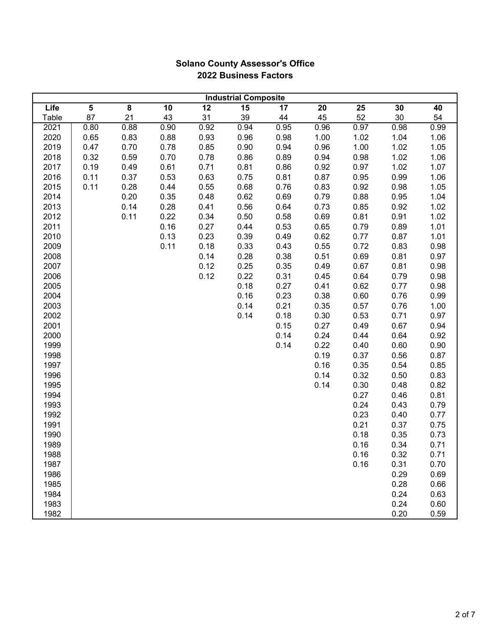| <b>Industrial Composite</b> |                         |      |      |      |                 |      |      |                 |      |      |
|-----------------------------|-------------------------|------|------|------|-----------------|------|------|-----------------|------|------|
| Life                        | $\overline{\mathbf{5}}$ | 8    | 10   | 12   | $\overline{15}$ | 17   | 20   | $\overline{25}$ | 30   | 40   |
| Table                       | 87                      | 21   | 43   | 31   | 39              | 44   | 45   | 52              | 30   | 54   |
| 2021                        | 0.80                    | 0.88 | 0.90 | 0.92 | 0.94            | 0.95 | 0.96 | 0.97            | 0.98 | 0.99 |
| 2020                        | 0.65                    | 0.83 | 0.88 | 0.93 | 0.96            | 0.98 | 1.00 | 1.02            | 1.04 | 1.06 |
| 2019                        | 0.47                    | 0.70 | 0.78 | 0.85 | 0.90            | 0.94 | 0.96 | 1.00            | 1.02 | 1.05 |
| 2018                        | 0.32                    | 0.59 | 0.70 | 0.78 | 0.86            | 0.89 | 0.94 | 0.98            | 1.02 | 1.06 |
| 2017                        | 0.19                    | 0.49 | 0.61 | 0.71 | 0.81            | 0.86 | 0.92 | 0.97            | 1.02 | 1.07 |
| 2016                        | 0.11                    | 0.37 | 0.53 | 0.63 | 0.75            | 0.81 | 0.87 | 0.95            | 0.99 | 1.06 |
| 2015                        | 0.11                    | 0.28 | 0.44 | 0.55 | 0.68            | 0.76 | 0.83 | 0.92            | 0.98 | 1.05 |
| 2014                        |                         | 0.20 | 0.35 | 0.48 | 0.62            | 0.69 | 0.79 | 0.88            | 0.95 | 1.04 |
| 2013                        |                         | 0.14 | 0.28 | 0.41 | 0.56            | 0.64 | 0.73 | 0.85            | 0.92 | 1.02 |
| 2012                        |                         | 0.11 | 0.22 | 0.34 | 0.50            | 0.58 | 0.69 | 0.81            | 0.91 | 1.02 |
| 2011                        |                         |      | 0.16 | 0.27 | 0.44            | 0.53 | 0.65 | 0.79            | 0.89 | 1.01 |
| 2010                        |                         |      | 0.13 | 0.23 | 0.39            | 0.49 | 0.62 | 0.77            | 0.87 | 1.01 |
| 2009                        |                         |      | 0.11 | 0.18 | 0.33            | 0.43 | 0.55 | 0.72            | 0.83 | 0.98 |
| 2008                        |                         |      |      | 0.14 | 0.28            | 0.38 | 0.51 | 0.69            | 0.81 | 0.97 |
| 2007                        |                         |      |      | 0.12 | 0.25            | 0.35 | 0.49 | 0.67            | 0.81 | 0.98 |
| 2006                        |                         |      |      | 0.12 | 0.22            | 0.31 | 0.45 | 0.64            | 0.79 | 0.98 |
| 2005                        |                         |      |      |      | 0.18            | 0.27 | 0.41 | 0.62            | 0.77 | 0.98 |
| 2004                        |                         |      |      |      | 0.16            | 0.23 | 0.38 | 0.60            | 0.76 | 0.99 |
| 2003                        |                         |      |      |      | 0.14            | 0.21 | 0.35 | 0.57            | 0.76 | 1.00 |
| 2002                        |                         |      |      |      | 0.14            | 0.18 | 0.30 | 0.53            | 0.71 | 0.97 |
| 2001                        |                         |      |      |      |                 | 0.15 | 0.27 | 0.49            | 0.67 | 0.94 |
| 2000                        |                         |      |      |      |                 | 0.14 | 0.24 | 0.44            | 0.64 | 0.92 |
| 1999                        |                         |      |      |      |                 | 0.14 | 0.22 | 0.40            | 0.60 | 0.90 |
| 1998                        |                         |      |      |      |                 |      | 0.19 | 0.37            | 0.56 | 0.87 |
| 1997                        |                         |      |      |      |                 |      | 0.16 | 0.35            | 0.54 | 0.85 |
| 1996                        |                         |      |      |      |                 |      | 0.14 | 0.32            | 0.50 | 0.83 |
| 1995                        |                         |      |      |      |                 |      | 0.14 | 0.30            | 0.48 | 0.82 |
| 1994                        |                         |      |      |      |                 |      |      | 0.27            | 0.46 | 0.81 |
| 1993                        |                         |      |      |      |                 |      |      | 0.24            | 0.43 | 0.79 |
| 1992                        |                         |      |      |      |                 |      |      | 0.23            | 0.40 | 0.77 |
| 1991                        |                         |      |      |      |                 |      |      | 0.21            | 0.37 | 0.75 |
| 1990                        |                         |      |      |      |                 |      |      | 0.18            | 0.35 | 0.73 |
| 1989                        |                         |      |      |      |                 |      |      | 0.16            | 0.34 | 0.71 |
| 1988                        |                         |      |      |      |                 |      |      | 0.16            | 0.32 | 0.71 |
| 1987                        |                         |      |      |      |                 |      |      | 0.16            | 0.31 | 0.70 |
| 1986                        |                         |      |      |      |                 |      |      |                 | 0.29 | 0.69 |
| 1985                        |                         |      |      |      |                 |      |      |                 | 0.28 | 0.66 |
| 1984                        |                         |      |      |      |                 |      |      |                 | 0.24 | 0.63 |
| 1983                        |                         |      |      |      |                 |      |      |                 | 0.24 | 0.60 |
| 1982                        |                         |      |      |      |                 |      |      |                 | 0.20 | 0.59 |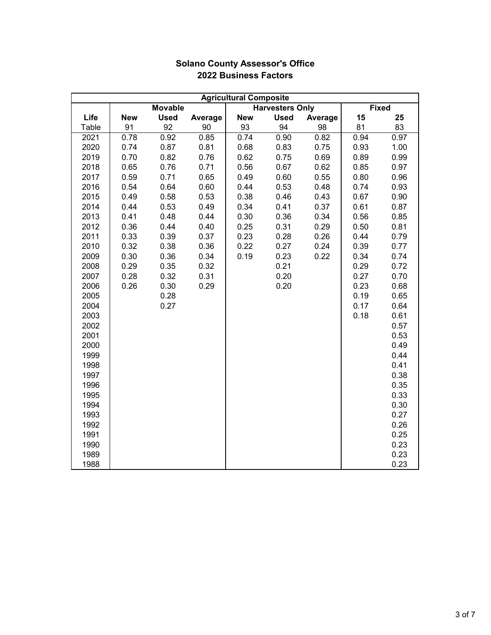|       | <b>Agricultural Composite</b> |                   |         |            |                        |         |      |              |
|-------|-------------------------------|-------------------|---------|------------|------------------------|---------|------|--------------|
|       |                               | <b>Movable</b>    |         |            | <b>Harvesters Only</b> |         |      | <b>Fixed</b> |
| Life  | <b>New</b>                    | <b>Used</b>       | Average | <b>New</b> | <b>Used</b>            | Average | 15   | 25           |
| Table | 91                            | 92                | 90      | 93         | 94                     | 98      | 81   | 83           |
| 2021  | 0.78                          | $\overline{0.92}$ | 0.85    | 0.74       | 0.90                   | 0.82    | 0.94 | 0.97         |
| 2020  | 0.74                          | 0.87              | 0.81    | 0.68       | 0.83                   | 0.75    | 0.93 | 1.00         |
| 2019  | 0.70                          | 0.82              | 0.76    | 0.62       | 0.75                   | 0.69    | 0.89 | 0.99         |
| 2018  | 0.65                          | 0.76              | 0.71    | 0.56       | 0.67                   | 0.62    | 0.85 | 0.97         |
| 2017  | 0.59                          | 0.71              | 0.65    | 0.49       | 0.60                   | 0.55    | 0.80 | 0.96         |
| 2016  | 0.54                          | 0.64              | 0.60    | 0.44       | 0.53                   | 0.48    | 0.74 | 0.93         |
| 2015  | 0.49                          | 0.58              | 0.53    | 0.38       | 0.46                   | 0.43    | 0.67 | 0.90         |
| 2014  | 0.44                          | 0.53              | 0.49    | 0.34       | 0.41                   | 0.37    | 0.61 | 0.87         |
| 2013  | 0.41                          | 0.48              | 0.44    | 0.30       | 0.36                   | 0.34    | 0.56 | 0.85         |
| 2012  | 0.36                          | 0.44              | 0.40    | 0.25       | 0.31                   | 0.29    | 0.50 | 0.81         |
| 2011  | 0.33                          | 0.39              | 0.37    | 0.23       | 0.28                   | 0.26    | 0.44 | 0.79         |
| 2010  | 0.32                          | 0.38              | 0.36    | 0.22       | 0.27                   | 0.24    | 0.39 | 0.77         |
| 2009  | 0.30                          | 0.36              | 0.34    | 0.19       | 0.23                   | 0.22    | 0.34 | 0.74         |
| 2008  | 0.29                          | 0.35              | 0.32    |            | 0.21                   |         | 0.29 | 0.72         |
| 2007  | 0.28                          | 0.32              | 0.31    |            | 0.20                   |         | 0.27 | 0.70         |
| 2006  | 0.26                          | 0.30              | 0.29    |            | 0.20                   |         | 0.23 | 0.68         |
| 2005  |                               | 0.28              |         |            |                        |         | 0.19 | 0.65         |
| 2004  |                               | 0.27              |         |            |                        |         | 0.17 | 0.64         |
| 2003  |                               |                   |         |            |                        |         | 0.18 | 0.61         |
| 2002  |                               |                   |         |            |                        |         |      | 0.57         |
| 2001  |                               |                   |         |            |                        |         |      | 0.53         |
| 2000  |                               |                   |         |            |                        |         |      | 0.49         |
| 1999  |                               |                   |         |            |                        |         |      | 0.44         |
| 1998  |                               |                   |         |            |                        |         |      | 0.41         |
| 1997  |                               |                   |         |            |                        |         |      | 0.38         |
| 1996  |                               |                   |         |            |                        |         |      | 0.35         |
| 1995  |                               |                   |         |            |                        |         |      | 0.33         |
| 1994  |                               |                   |         |            |                        |         |      | 0.30         |
| 1993  |                               |                   |         |            |                        |         |      | 0.27         |
| 1992  |                               |                   |         |            |                        |         |      | 0.26         |
| 1991  |                               |                   |         |            |                        |         |      | 0.25         |
| 1990  |                               |                   |         |            |                        |         |      | 0.23         |
| 1989  |                               |                   |         |            |                        |         |      | 0.23         |
| 1988  |                               |                   |         |            |                        |         |      | 0.23         |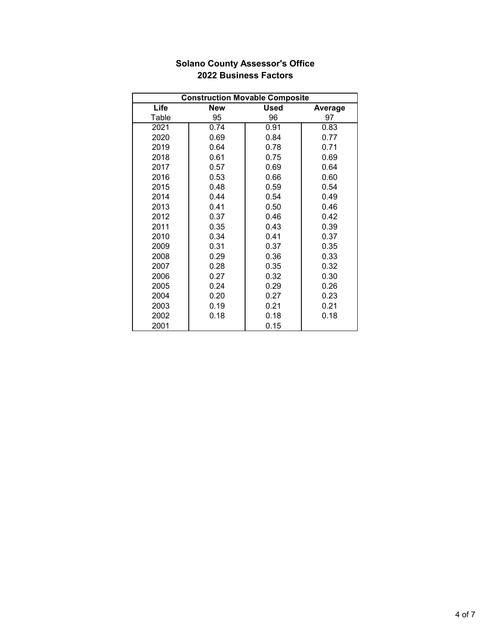|       | <b>Construction Movable Composite</b> |             |         |  |  |  |  |
|-------|---------------------------------------|-------------|---------|--|--|--|--|
| Life  | <b>New</b>                            | <b>Used</b> | Average |  |  |  |  |
| Table | 95                                    | 96          | 97      |  |  |  |  |
| 2021  | 0.74                                  | 0.91        | 0.83    |  |  |  |  |
| 2020  | 0.69                                  | 0.84        | 0.77    |  |  |  |  |
| 2019  | 0.64                                  | 0.78        | 0.71    |  |  |  |  |
| 2018  | 0.61                                  | 0.75        | 0.69    |  |  |  |  |
| 2017  | 0.57                                  | 0.69        | 0.64    |  |  |  |  |
| 2016  | 0.53                                  | 0.66        | 0.60    |  |  |  |  |
| 2015  | 0.48                                  | 0.59        | 0.54    |  |  |  |  |
| 2014  | 0.44                                  | 0.54        | 0.49    |  |  |  |  |
| 2013  | 0.41                                  | 0.50        | 0.46    |  |  |  |  |
| 2012  | 0.37                                  | 0.46        | 0.42    |  |  |  |  |
| 2011  | 0.35                                  | 0.43        | 0.39    |  |  |  |  |
| 2010  | 0.34                                  | 0.41        | 0.37    |  |  |  |  |
| 2009  | 0.31                                  | 0.37        | 0.35    |  |  |  |  |
| 2008  | 0.29                                  | 0.36        | 0.33    |  |  |  |  |
| 2007  | 0.28                                  | 0.35        | 0.32    |  |  |  |  |
| 2006  | 0.27                                  | 0.32        | 0.30    |  |  |  |  |
| 2005  | 0.24                                  | 0.29        | 0.26    |  |  |  |  |
| 2004  | 0.20                                  | 0.27        | 0.23    |  |  |  |  |
| 2003  | 0.19                                  | 0.21        | 0.21    |  |  |  |  |
| 2002  | 0.18                                  | 0.18        | 0.18    |  |  |  |  |
| 2001  |                                       | 0.15        |         |  |  |  |  |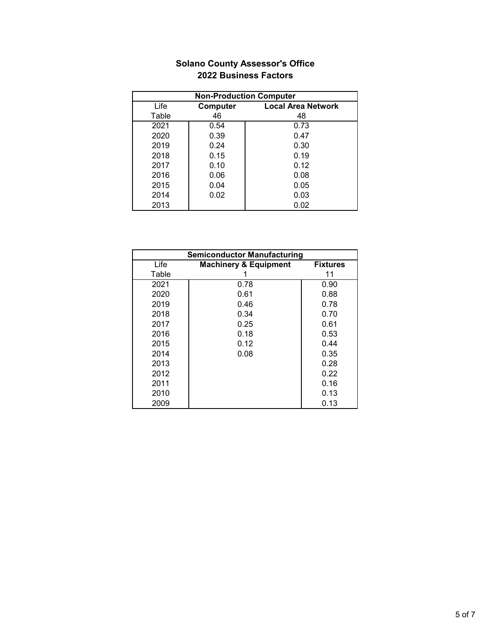| <b>Non-Production Computer</b> |          |                           |  |  |  |  |
|--------------------------------|----------|---------------------------|--|--|--|--|
| Life                           | Computer | <b>Local Area Network</b> |  |  |  |  |
| Table                          | 46       | 48                        |  |  |  |  |
| 2021                           | 0.54     | 0.73                      |  |  |  |  |
| 2020                           | 0.39     | 0.47                      |  |  |  |  |
| 2019                           | 0.24     | 0.30                      |  |  |  |  |
| 2018                           | 0.15     | 0.19                      |  |  |  |  |
| 2017                           | 0.10     | 0.12                      |  |  |  |  |
| 2016                           | 0.06     | 0.08                      |  |  |  |  |
| 2015                           | 0.04     | 0.05                      |  |  |  |  |
| 2014                           | 0.02     | 0.03                      |  |  |  |  |
| 2013                           |          | 0.02                      |  |  |  |  |

| <b>Semiconductor Manufacturing</b> |                                  |                 |  |  |  |
|------------------------------------|----------------------------------|-----------------|--|--|--|
| Life                               | <b>Machinery &amp; Equipment</b> | <b>Fixtures</b> |  |  |  |
| Table                              |                                  | 11              |  |  |  |
| 2021                               | 0.78                             | 0.90            |  |  |  |
| 2020                               | 0.61                             | 0.88            |  |  |  |
| 2019                               | 0.46                             | 0.78            |  |  |  |
| 2018                               | 0.34                             | 0.70            |  |  |  |
| 2017                               | 0.25                             | 0.61            |  |  |  |
| 2016                               | 0.18                             | 0.53            |  |  |  |
| 2015                               | 0.12                             | 0.44            |  |  |  |
| 2014                               | 0.08                             | 0.35            |  |  |  |
| 2013                               |                                  | 0.28            |  |  |  |
| 2012                               |                                  | 0.22            |  |  |  |
| 2011                               |                                  | 0.16            |  |  |  |
| 2010                               |                                  | 0.13            |  |  |  |
| 2009                               |                                  | 0.13            |  |  |  |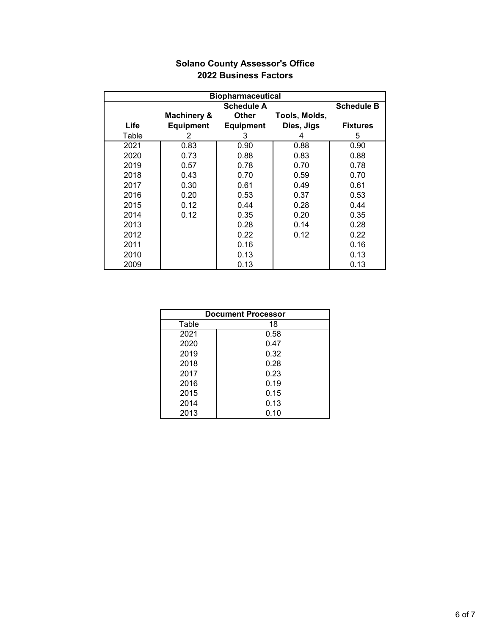| <b>Biopharmaceutical</b> |                                        |                  |               |                 |  |  |
|--------------------------|----------------------------------------|------------------|---------------|-----------------|--|--|
|                          | <b>Schedule A</b><br><b>Schedule B</b> |                  |               |                 |  |  |
|                          | <b>Machinery &amp;</b>                 | <b>Other</b>     | Tools, Molds, |                 |  |  |
| Life                     | <b>Equipment</b>                       | <b>Equipment</b> | Dies, Jigs    | <b>Fixtures</b> |  |  |
| Table                    | 2                                      | 3                | 4             | 5               |  |  |
| 2021                     | 0.83                                   | 0.90             | 0.88          | 0.90            |  |  |
| 2020                     | 0.73                                   | 0.88             | 0.83          | 0.88            |  |  |
| 2019                     | 0.57                                   | 0.78             | 0.70          | 0.78            |  |  |
| 2018                     | 0.43                                   | 0.70             | 0.59          | 0.70            |  |  |
| 2017                     | 0.30                                   | 0.61             | 0.49          | 0.61            |  |  |
| 2016                     | 0.20                                   | 0.53             | 0.37          | 0.53            |  |  |
| 2015                     | 0.12                                   | 0.44             | 0.28          | 0.44            |  |  |
| 2014                     | 0.12                                   | 0.35             | 0.20          | 0.35            |  |  |
| 2013                     |                                        | 0.28             | 0.14          | 0.28            |  |  |
| 2012                     |                                        | 0.22             | 0.12          | 0.22            |  |  |
| 2011                     |                                        | 0.16             |               | 0.16            |  |  |
| 2010                     |                                        | 0.13             |               | 0.13            |  |  |
| 2009                     |                                        | 0.13             |               | 0.13            |  |  |

| <b>Document Processor</b> |      |  |  |  |  |
|---------------------------|------|--|--|--|--|
| Table                     | 18   |  |  |  |  |
| 2021                      | 0.58 |  |  |  |  |
| 2020                      | 0.47 |  |  |  |  |
| 2019                      | 0.32 |  |  |  |  |
| 2018                      | 0.28 |  |  |  |  |
| 2017                      | 0.23 |  |  |  |  |
| 2016                      | 0.19 |  |  |  |  |
| 2015                      | 0.15 |  |  |  |  |
| 2014                      | 0.13 |  |  |  |  |
| 2013                      | 0.10 |  |  |  |  |